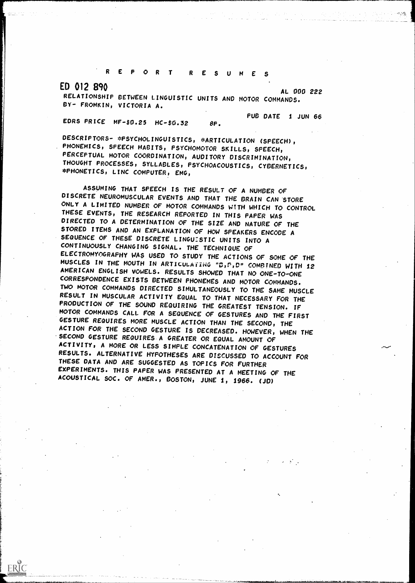# R E P O R T R E S U M E S

ERIC

ED 012 890 AL 000 222

RELATIONSHIP BETWEEN LINGUISTIC UNITS AND MOTOR COMMANDS. FROMKIN, VICTORIA A. PUB DATE 1 JUN 66

EDRS PRICE MF-\$0.25 HC-\$0.32 8P.

DESCRIPTORS- \*PSYCHOLINGUISTICS, \*ARTICULATION (SPEECH), PHONEMICS, SPEECH HABITS, PSYCHOMOTOR SKILLS, SPEECH, PERCEPTUAL MOTOR COORDINATION, AUDITORY DISCRIMINATION, THOUGHT PROCESSES, SYLLABLES, PSYCHOACOUSTICS, CYBERNETICS, \*PHONETICS, LING COMPUTER, EMG,

ASSUMING THAT SPEECH IS THE RESULT OF A NUMBER OF DISCRETE NEUROMUSCULAR EVENTS AND THAT THE BRAIN CAN STORE ONLY A LIMITED NUMBER OF MOTOR COMMANDS WTH WHICH TO CONTROL THESE EVENTS, THE RESEARCH REPORTED IN THIS PAPER WAS DIRECTED TO A DETERMINATION OF THE SIZE AND NATURE OF THE STORED ITEMS AND AN EXPLANATION OF HOW SPEAKERS ENCODE A SEQUENCE OF THESE DISCRETE LINGU:STIC UNITS INTO A CONTINUOUSLY CHANGING SIGNAL. THE TECHNIQUE OF ELECTROMYOGRAPHY WAS USED TO STUDY THE ACTIONS OF SOME OF THE MUSCLES IN THE MOUTH IN ARTICULATING "0,P,D" COMBINED WITH 12 AMERICAN ENGLISH VOWELS. RESULTS SHOWED THAT NO ONE-TO-ONE CORRESPONDENCE EXISTS BETWEEN PHONEMES AND MOTOR COMMANDS. TWO MOTOR COMMANDS DIRECTED SIMULTANEOUSLY TO THE SAME MUSCLE RESULT IN MUSCULAR ACTIVITY EQUAL TO THAT NECESSARY FOR THE PRODUCTION OF THE SOUND REQUIRING THE GREATEST TENSION. IF MOTOR COMMANDS CALL FOR A SEQUENCE OF GESTURES AND THE FIRST GESTURE REQUIRES MORE MUSCLE ACTION THAN THE SECOND, THE ACTION FOR THE SECOND GESTURE IS DECREASED. HOWEVER, WHEN THE 'SECOND GESTURE REQUIRES.A GREATER OR EQUAL AMOUNT OF ACTIVITY, A MORE OR LESS SIMPLE CONCATENATION OF GESTURES RESULTS. ALTERNATIVE HYPOTHESES ARE DISCUSSED TO ACCOUNT FOR THESE DATA AND ARE SUGGESTED AS TOPICS FOR FURTHER EXPERIMENTS. THIS PAPER WAS PRESENTED AT A MEETING OF THE ACOUSTICAL SOC. OF AMER., BOSTON, JUNE 1, 1966. (JD)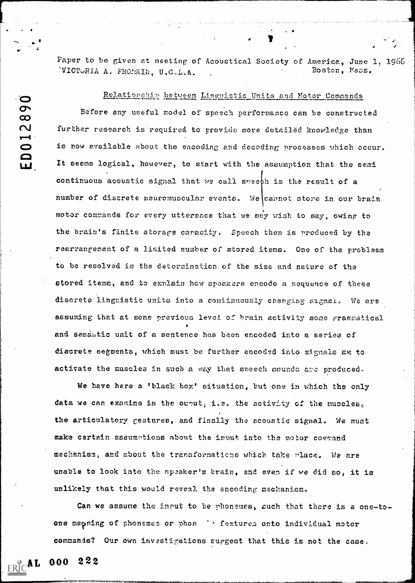Paper to be given at meeting of Acoustical Society of America, June l, 1966 'VICTURIA A. FROMKIN, U.C.L.A. Boston, Vass.

Relationship between Linguistic Units and Motor Commands

Before any useful model of speech performance can be constructed  $\overline{C}$  $\mathbf N$  further research is required to provide more detailed knowledge than is now available about the encoding and decoding processes which occur. It seems logical, however, to start with the assumption that the semi continuous acoustic signal that we call spach is the result of a i number of discrete neuromuscular events. We cannot store in our brain with motor commands for every utterance that we may wish to say, owing to the brain's finite atorage caracity. Speech then is produced by the rearrangement of a limited number of stored items. One of the problems to be resolved is the deterninstion of the size and nature of the stored items, and to exnlain hew speakers encode a sequence of these discrete linguistic units into a continuously changing signal. We are assuming that at some previous level of brain activity some grammatical and semantic unit of a sentence has been encoded into a series of discrete segments, which must be further encoded into signals an to activate the muscles in such a way that speech sounds are produced.

We have here a 'black box' situation; but one in which the only data we can examine is the ounut; i.e. the activity of the muscles, the articulatory gestures, and finally the acoustic signal. We must make certain assumptions about the input into the motor cormand mechanism, and about the transformations which take place. We are unable to look into the speaker's brain, and even if we did so, it is unlikely that this would reveal the encoding mechanism.

Can we assume the input to be phonemes, such that there is a one-toone mapping of phonemes or phon individual motor commands? Our own investigations suggest that this is not the case,

 $ERC **AL**$  000 222</u>

 $\bigcirc$ 

O<br>Q

ш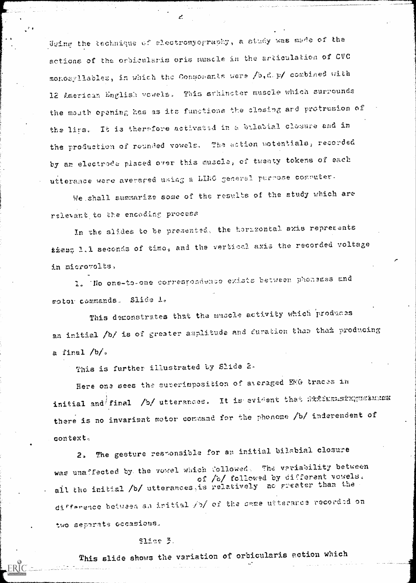Using the technique of alectromyography, a study was made of the actions of the orbicularis oris muscle in the articulation of CVC monosyllables, in which the Consomants were /b,d.p/ combined with 12 American English vowels. This sthincter muscle which surrounds the mouth opening has as its functions the closing and protrusion of the lips. It is therefore activated in a bulabial closure and in the production of rounded vowels. The action potentials, recorded by an electrode placed over this muscle, of twenty tokens of each utterance were averaged using a LING general purpose computer.

We shall summarize some of the results of the study which are relevant to the encoding process

In the slides to be presented, the horazontal axis represents ties; l.l seconds of time, and the vertical axis the recorded voltage in microvolts,

1. The one-to-one correspondence exists between phonemes and motor commands. Slide l.

This demonstrates that the muscle activity which produces an initial /b/ is of greater amplitude and duration than tham producing a final  $/b/s$ 

This is further illustrated by Slide 2.

Here one sees the surerimposition of averaged EMG traces in initial and final /b/ utterances. It is evident that fix?Exmainguskuras there is no invariant motor command for the phonome /b/ inderendent of context.

The gesture responsible for an initial bilabial closure  $2<sub>5</sub>$ was unaffected by the vowel which followed. The variability between of /o/ followed by different vowels. all the initial /b/ utterances, is relatively no greater than the difference between an initial /b/ of the same utterance recorded on two separate occasions.

## Slide 3.

This slide shows the variation of orbicularis action which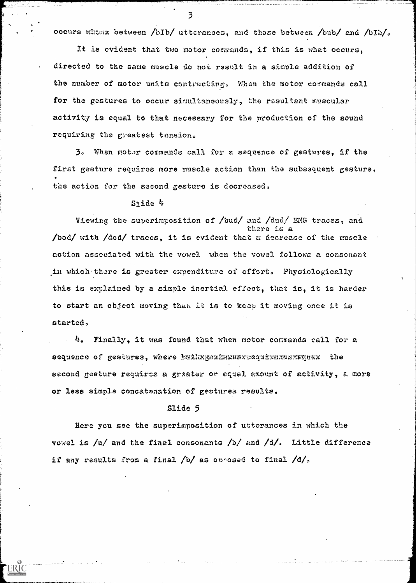occurs whumx between /bIb/ utterances, and those between /bub/ and /bIb/.

3

It is evident that two motor comands, if this is what occurs, directed to the same muscle do not result in a sionle addition of the number of motor units contracting. When the motor commands call for the gestures to occur simultaneously, the resultant muscular activity is equal to that necessary for the production of the sound requiring the greatest tension,

 $3.$  When motor commands call for a sequence of gestures, if the first gesture requires more muscle action than the subsequent gesture, the action for the sscond gesture is decreased,

### Slide 4

Viewing the superimposition of /bud/ and /dud/ EMG traces, and there is a /bod/ with /dod/ traces, it is evident that a decrease of the muscle action associated with the vowel when the vowel follows a consonant in which-there is greater expenditure of effort. Physiologically this is explained by a simple inertial effect, that is, it is harder to start an object moving than it is to keep it moving once it is started,

Finally, it was found that when motor commands call for a sequence of gestures, where hethxgrithrexrequirexxxxxiquax the second gesture requires a greater or equal amount of activity, a more or less simple concatenation of gestures results.

#### Slide 5

 $\mathcal{L}^{\text{max}}$  .

ERIC

Here ycu see the superimposition of utterances in which the vowel is  $/u/$  and the final consonants  $/b/$  and  $/d/$ . Little difference if any results from a final  $/b/$  as oprosed to final  $/d/$ .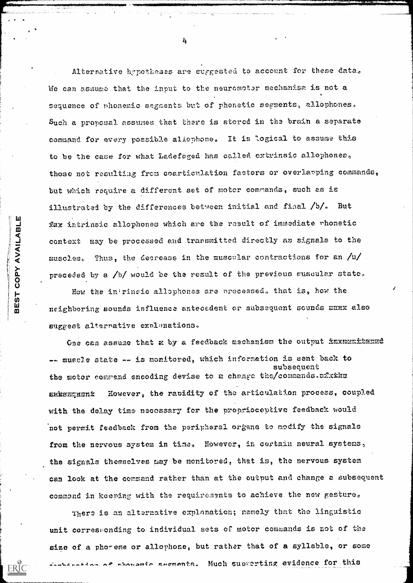Alternative hypotheses are suggested to account for these data. We can assume that the input to the neuromotor mechanism is not a sequence of phonemic segments but of phonetic segments, allophones. Such a proposal assumes that there is stered in the brain a separate command for every possible allephone. It is logical to assume this to be the case for what Ladefoged has called extrinsic allophones, those not resulting from coartioulation factors or overlapping commands, but which require a different set of motor commands, such as is illustrated by the differences between initial and final /b/. But fax intrinsic allophones which are the result of immediate rhonetic context may be processed and transmitted directly as signals to the muscles. Thus, the decrease in the muscular contractions for an  $/u/$ preceded by a /b/ would be the result of the previous muscular state.

How the intrinsic allophones are processed, that is, how the neighboring sounds influence antecedent or subsequent sounds HHHX also suggest alternative explanations.

COPY AVAILABLE

**BEST** 

One can assume that a by a feedback mechanism the output fraxmenitured -- muscle state -- is monitored, which information is sent back to subsequent the motor command encoding devise to a change the/commands.afking However, the rapidity of the articulation process, coupled ENDEHEIGNŹ with the delay time necessary for the proprioceptive feedback would not permit feedback from the peripheral organs to modify the signals from the nervous system in time. However, in certain neural systems, the signals themselves may be monitored, that is, the nervous system can look at the command rather than at the output and change a subsequent command in keeping with the requirements to achieve the new gesture.

There is an alternative explanation; namely that the linguistic unit corresponding to individual sets of motor commands is not of the size of a phoreme or allophone, but rather that of a syllable, or some seation of phonomic segments. Much supporting evidence for this

 $\frac{1}{2}$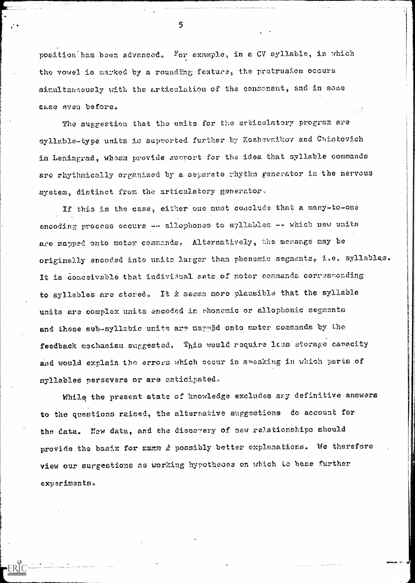position has been advanced. For example, in a CV syllable, in which the vowel is marked by a roundtng feature, the protrusion occurs simultansously with the articulation of the consonant, and in some c&se even before.

The suggestion that the units for the articulatory program are syllable-type units is supported further by Kozhavnikov and Chistovich in Leningrad, whosa provide support for the idea that syllable commands are rhythmically organized by a separate rhythm generator in the nervous system, distinct from the articulatory generator.

If this is the case, either one must conclude that a many-to-one encoding process occurs  $--$  allophones to syllables  $--$  which new units are mapped onto motor commands. Alternatively, the message may be originally encoded into units larger than phonemic segments, i.e. syllables. It is conceivable that individual sets of motor commands corresponding to syllables are stored. It  $\dot{z}$  seems more plausible that the syllable units are complex units encoded in phonemic or allophonic segments and these sub-syllabic units are mapped onto motor commands by the feedback mechanism suggested. This would require less storage canacity and would explain the errors which occur in speaking in which parts of syllables persevere or are anticipated,

While the present state of knowledge excludes any definitive answers to the questions raised, the alternative suggestions do account for the data. New data, and the discovery of new relationships should provide the baaix for rann i possibly better explanations. We therefore view our surgestions as working hypotheses on which to base further experiments,

 $\label{eq:2.1} \frac{1}{\sqrt{2}}\left(\frac{1}{\sqrt{2}}\right)^{2} \left(\frac{1}{\sqrt{2}}\right)^{2} \left(\frac{1}{\sqrt{2}}\right)^{2} \left(\frac{1}{\sqrt{2}}\right)^{2} \left(\frac{1}{\sqrt{2}}\right)^{2} \left(\frac{1}{\sqrt{2}}\right)^{2} \left(\frac{1}{\sqrt{2}}\right)^{2} \left(\frac{1}{\sqrt{2}}\right)^{2} \left(\frac{1}{\sqrt{2}}\right)^{2} \left(\frac{1}{\sqrt{2}}\right)^{2} \left(\frac{1}{\sqrt{2}}\right)^{2} \left(\$ 

 $\label{eq:2.1} \frac{1}{\sqrt{2}}\int_{\mathbb{R}^3}\frac{1}{\sqrt{2}}\left(\frac{1}{\sqrt{2}}\right)^2\frac{1}{\sqrt{2}}\left(\frac{1}{\sqrt{2}}\right)^2\frac{1}{\sqrt{2}}\left(\frac{1}{\sqrt{2}}\right)^2\frac{1}{\sqrt{2}}\left(\frac{1}{\sqrt{2}}\right)^2\frac{1}{\sqrt{2}}\left(\frac{1}{\sqrt{2}}\right)^2\frac{1}{\sqrt{2}}\frac{1}{\sqrt{2}}\frac{1}{\sqrt{2}}\frac{1}{\sqrt{2}}\frac{1}{\sqrt{2}}\frac{1}{\sqrt{2}}$ 

5